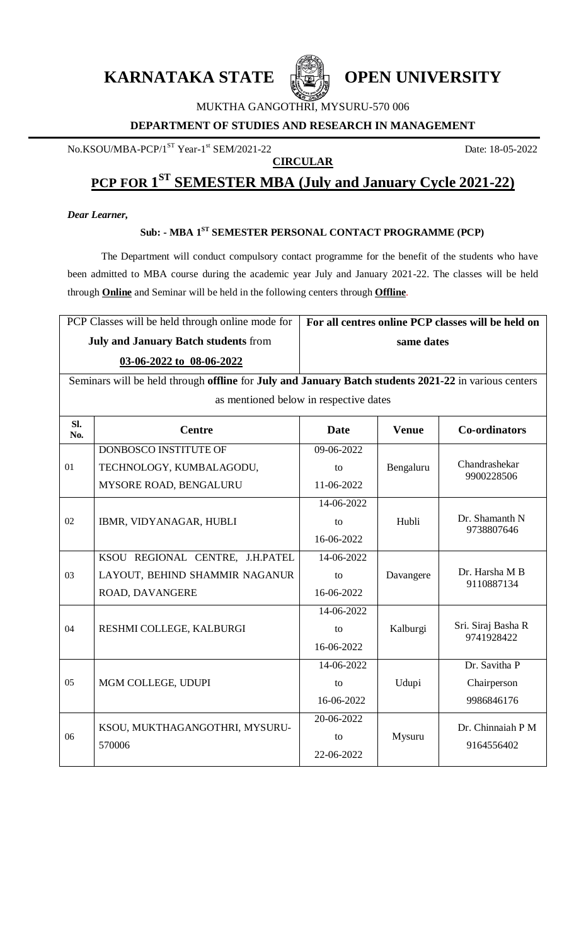**KARNATAKA STATE ELECTION UNIVERSITY** 



MUKTHA GANGOTHRI, MYSURU-570 006

#### **DEPARTMENT OF STUDIES AND RESEARCH IN MANAGEMENT**

No.KSOU/MBA-PCP/1<sup>ST</sup> Year-1<sup>st</sup> SEM/2021-22

## **CIRCULAR**

Date: 18-05-2022

## **PCP FOR 1 ST SEMESTER MBA (July and January Cycle 2021-22)**

## *Dear Learner,*

## **Sub: - MBA 1ST SEMESTER PERSONAL CONTACT PROGRAMME (PCP)**

The Department will conduct compulsory contact programme for the benefit of the students who have been admitted to MBA course during the academic year July and January 2021-22. The classes will be held through **Online** and Seminar will be held in the following centers through **Offline**.

| PCP Classes will be held through online mode for                                                                   | For all centres online PCP classes will be held on |  |  |  |
|--------------------------------------------------------------------------------------------------------------------|----------------------------------------------------|--|--|--|
| <b>July and January Batch students from</b>                                                                        | same dates                                         |  |  |  |
| 03-06-2022 to 08-06-2022                                                                                           |                                                    |  |  |  |
| Seminars will be held through <b>offline</b> for <b>July and January Batch students 2021-22</b> in various centers |                                                    |  |  |  |

as mentioned below in respective dates

| SI.<br>No. | <b>Centre</b>                            | <b>Date</b> | <b>Venue</b> | <b>Co-ordinators</b>             |
|------------|------------------------------------------|-------------|--------------|----------------------------------|
| 01         | DONBOSCO INSTITUTE OF                    | 09-06-2022  | Bengaluru    | Chandrashekar<br>9900228506      |
|            | TECHNOLOGY, KUMBALAGODU,                 | to          |              |                                  |
|            | MYSORE ROAD, BENGALURU                   | 11-06-2022  |              |                                  |
| 02         | IBMR, VIDYANAGAR, HUBLI                  | 14-06-2022  | Hubli        | Dr. Shamanth N<br>9738807646     |
|            |                                          | to          |              |                                  |
|            |                                          | 16-06-2022  |              |                                  |
| 03         | KSOU REGIONAL CENTRE, J.H.PATEL          | 14-06-2022  | Davangere    | Dr. Harsha M B<br>9110887134     |
|            | LAYOUT, BEHIND SHAMMIR NAGANUR           | to          |              |                                  |
|            | ROAD, DAVANGERE                          | 16-06-2022  |              |                                  |
| 04         | RESHMI COLLEGE, KALBURGI                 | 14-06-2022  | Kalburgi     | Sri. Siraj Basha R<br>9741928422 |
|            |                                          | to          |              |                                  |
|            |                                          | 16-06-2022  |              |                                  |
| 05         | MGM COLLEGE, UDUPI                       | 14-06-2022  | Udupi        | Dr. Savitha P                    |
|            |                                          | to          |              | Chairperson                      |
|            |                                          | 16-06-2022  |              | 9986846176                       |
| 06         | KSOU, MUKTHAGANGOTHRI, MYSURU-<br>570006 | 20-06-2022  | Mysuru       | Dr. Chinnaiah P M<br>9164556402  |
|            |                                          | to          |              |                                  |
|            |                                          | 22-06-2022  |              |                                  |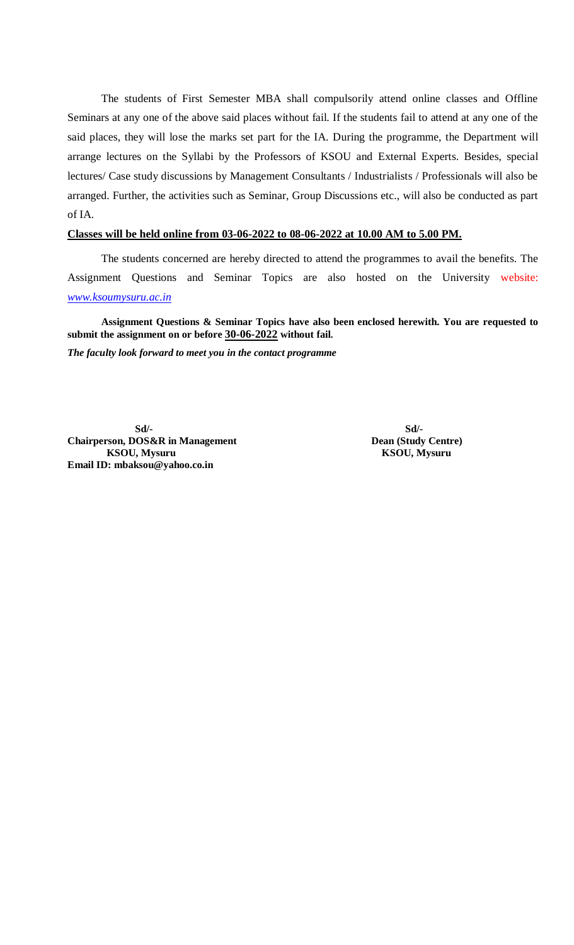The students of First Semester MBA shall compulsorily attend online classes and Offline Seminars at any one of the above said places without fail. If the students fail to attend at any one of the said places, they will lose the marks set part for the IA. During the programme, the Department will arrange lectures on the Syllabi by the Professors of KSOU and External Experts. Besides, special lectures/ Case study discussions by Management Consultants / Industrialists / Professionals will also be arranged. Further, the activities such as Seminar, Group Discussions etc., will also be conducted as part of IA.

#### **Classes will be held online from 03-06-2022 to 08-06-2022 at 10.00 AM to 5.00 PM.**

The students concerned are hereby directed to attend the programmes to avail the benefits. The Assignment Questions and Seminar Topics are also hosted on the University website: *[www.ksoumysuru.ac.in](http://www.ksoumysuru.ac.in/)*

**Assignment Questions & Seminar Topics have also been enclosed herewith. You are requested to submit the assignment on or before 30-06-2022 without fail.**

*The faculty look forward to meet you in the contact programme*

**Sd/- Sd/- Chairperson, DOS&R in Management Dean (Study Centre) KSOU, Mysuru KSOU, Mysuru Email ID: mbaksou@yahoo.co.in**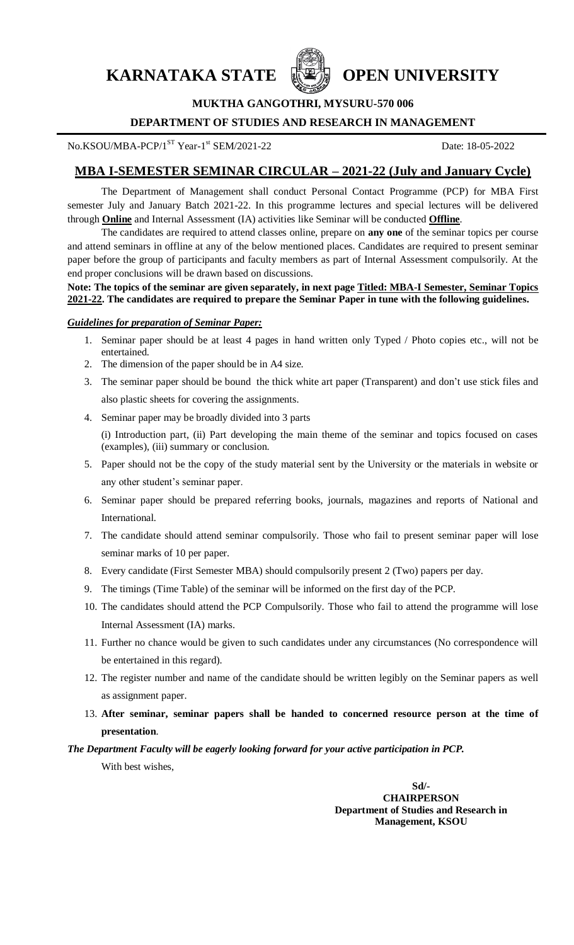**KARNATAKA STATE WEAR OPEN UNIVERSITY** 



**MUKTHA GANGOTHRI, MYSURU-570 006**

#### **DEPARTMENT OF STUDIES AND RESEARCH IN MANAGEMENT**

No.KSOU/MBA-PCP/1<sup>ST</sup> Year-1<sup>st</sup> SEM/2021-22

Date: 18-05-2022

## **MBA I-SEMESTER SEMINAR CIRCULAR – 2021-22 (July and January Cycle)**

The Department of Management shall conduct Personal Contact Programme (PCP) for MBA First semester July and January Batch 2021-22. In this programme lectures and special lectures will be delivered through **Online** and Internal Assessment (IA) activities like Seminar will be conducted **Offline**.

The candidates are required to attend classes online, prepare on **any one** of the seminar topics per course and attend seminars in offline at any of the below mentioned places. Candidates are required to present seminar paper before the group of participants and faculty members as part of Internal Assessment compulsorily. At the end proper conclusions will be drawn based on discussions.

#### **Note: The topics of the seminar are given separately, in next page Titled: MBA-I Semester, Seminar Topics 2021-22. The candidates are required to prepare the Seminar Paper in tune with the following guidelines.**

#### *Guidelines for preparation of Seminar Paper:*

- 1. Seminar paper should be at least 4 pages in hand written only Typed / Photo copies etc., will not be entertained.
- 2. The dimension of the paper should be in A4 size.
- 3. The seminar paper should be bound the thick white art paper (Transparent) and don't use stick files and also plastic sheets for covering the assignments.
- 4. Seminar paper may be broadly divided into 3 parts

(i) Introduction part, (ii) Part developing the main theme of the seminar and topics focused on cases (examples), (iii) summary or conclusion.

- 5. Paper should not be the copy of the study material sent by the University or the materials in website or any other student's seminar paper.
- 6. Seminar paper should be prepared referring books, journals, magazines and reports of National and International.
- 7. The candidate should attend seminar compulsorily. Those who fail to present seminar paper will lose seminar marks of 10 per paper.
- 8. Every candidate (First Semester MBA) should compulsorily present 2 (Two) papers per day.
- 9. The timings (Time Table) of the seminar will be informed on the first day of the PCP.
- 10. The candidates should attend the PCP Compulsorily. Those who fail to attend the programme will lose Internal Assessment (IA) marks.
- 11. Further no chance would be given to such candidates under any circumstances (No correspondence will be entertained in this regard).
- 12. The register number and name of the candidate should be written legibly on the Seminar papers as well as assignment paper.
- 13. **After seminar, seminar papers shall be handed to concerned resource person at the time of presentation**.

*The Department Faculty will be eagerly looking forward for your active participation in PCP.*

With best wishes,

**Sd/- CHAIRPERSON Department of Studies and Research in Management, KSOU**